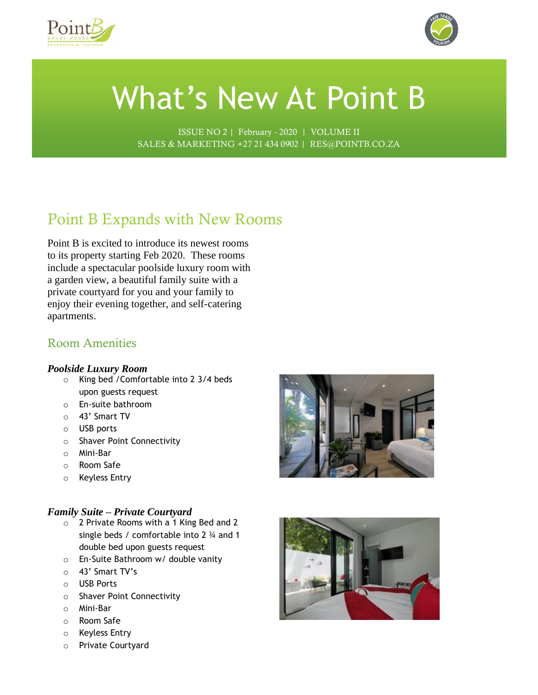



# What's New At Point B

ISSUE NO 2 | February - 2020 | VOLUME II SALES & MARKETING +27 21 434 0902 | RES@POINTB.CO.ZA

# Point B Expands with New Rooms

Point B is excited to introduce its newest rooms to its property starting Feb 2020. These rooms include a spectacular poolside luxury room with a garden view, a beautiful family suite with a private courtyard for you and your family to enjoy their evening together, and self-catering apartments.

### Room Amenities

### *Poolside Luxury Room*

- o King bed /Comfortable into 2 3/4 beds upon guests request
- o En-suite bathroom
- o 43' Smart TV
- o USB ports
- o Shaver Point Connectivity
- o Mini-Bar
- o Room Safe
- o Keyless Entry

### *Family Suite – Private Courtyard*

- o 2 Private Rooms with a 1 King Bed and 2 single beds / comfortable into 2 ¾ and 1 double bed upon guests request
- o En-Suite Bathroom w/ double vanity
- o 43' Smart TV's
- o USB Ports
- o Shaver Point Connectivity
- o Mini-Bar
- o Room Safe
- o Keyless Entry
- o Private Courtyard



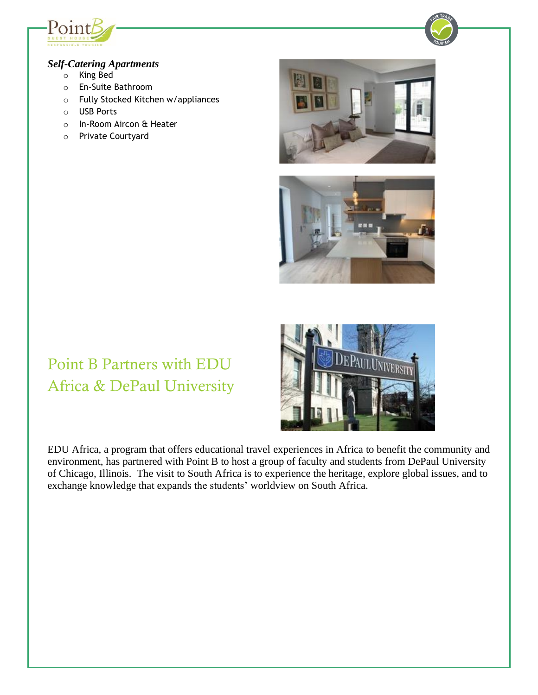



### *Self-Catering Apartments*

- o King Bed
- o En-Suite Bathroom
- o Fully Stocked Kitchen w/appliances
- o USB Ports
- o In-Room Aircon & Heater
- o Private Courtyard





# Point B Partners with EDU Africa & DePaul University

EDU Africa, a program that offers educational travel experiences in Africa to benefit the community and environment, has partnered with Point B to host a group of faculty and students from DePaul University of Chicago, Illinois. The visit to South Africa is to experience the heritage, explore global issues, and to exchange knowledge that expands the students' worldview on South Africa.